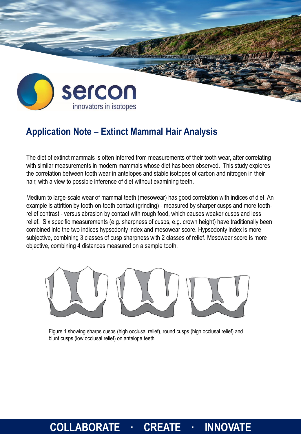

## **Application Note – Extinct Mammal Hair Analysis**

The diet of extinct mammals is often inferred from measurements of their tooth wear, after correlating with similar measurements in modern mammals whose diet has been observed. This study explores the correlation between tooth wear in antelopes and stable isotopes of carbon and nitrogen in their hair, with a view to possible inference of diet without examining teeth.

Medium to large-scale wear of mammal teeth (mesowear) has good correlation with indices of diet. An example is attrition by tooth-on-tooth contact (grinding) - measured by sharper cusps and more toothrelief contrast - versus abrasion by contact with rough food, which causes weaker cusps and less relief. Six specific measurements (e.g. sharpness of cusps, e.g. crown height) have traditionally been combined into the two indices hypsodonty index and mesowear score. Hypsodonty index is more subjective, combining 3 classes of cusp sharpness with 2 classes of relief. Mesowear score is more objective, combining 4 distances measured on a sample tooth.



Figure 1 showing sharps cusps (high occlusal relief), round cusps (high occlusal relief) and blunt cusps (low occlusal relief) on antelope teeth

## **COLLABORATE · CREATE · INNOVATE**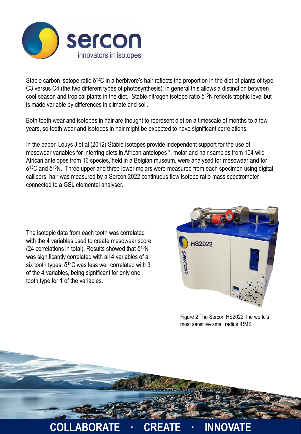

Stable carbon isotope ratio  $\delta^{13}$ C in a herbivore's hair reflects the proportion in the diet of plants of type C3 versus C4 (the two different types of photosynthesis); in general this allows a distinction between cool-season and tropical plants in the diet. Stable nitrogen isotope ratio δ<sup>15</sup>N reflects trophic level but is made variable by differences in climate and soil.

Both tooth wear and isotopes in hair are thought to represent diet on a timescale of months to a few years, so tooth wear and isotopes in hair might be expected to have significant correlations.

In the paper, Louys J et al (2012) Stable isotopes provide independent support for the use of mesowear variables for inferring diets in African antelopes \*, molar and hair samples from 104 wild African antelopes from 16 species, held in a Belgian museum, were analysed for mesowear and for  $δ<sup>13</sup>C$  and  $δ<sup>15</sup>N$ . Three upper and three lower molars were measured from each specimen using digital callipers; hair was measured by a Sercon 2022 continuous flow isotope ratio mass spectrometer connected to a GSL elemental analyser.

The isotopic data from each tooth was correlated with the 4 variables used to create mesowear score (24 correlations in total). Results showed that  $δ<sup>15</sup>N$ was significantly correlated with all 4 variables of all six tooth types;  $δ<sup>13</sup>C$  was less well correlated with 3 of the 4 variables, being significant for only one tooth type for 1 of the variables.



Figure 2 The Sercon HS2022, the world's most sensitive small radius IRMS